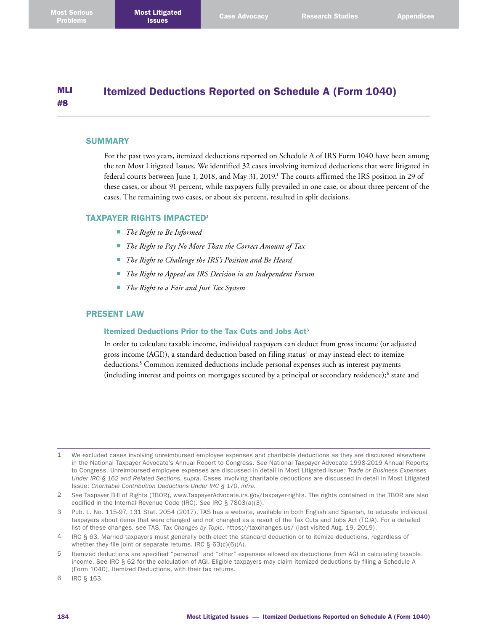#### MLI #8 Itemized Deductions Reported on Schedule A (Form 1040)

### **SUMMARY**

For the past two years, itemized deductions reported on Schedule A of IRS Form 1040 have been among the ten Most Litigated Issues. We identified 32 cases involving itemized deductions that were litigated in federal courts between June 1, 2018, and May 31, 2019. 1 The courts affirmed the IRS position in 29 of these cases, or about 91 percent, while taxpayers fully prevailed in one case, or about three percent of the cases. The remaining two cases, or about six percent, resulted in split decisions.

### TAXPAYER RIGHTS IMPACTED<sup>2</sup>

- *The Right to Be Informed*
- *The Right to Pay No More Than the Correct Amount of Tax*
- *The Right to Challenge the IRS's Position and Be Heard*
- *The Right to Appeal an IRS Decision in an Independent Forum*
- *The Right to a Fair and Just Tax System*

## PRESENT LAW

#### Itemized Deductions Prior to the Tax Cuts and Jobs Act<sup>3</sup>

In order to calculate taxable income, individual taxpayers can deduct from gross income (or adjusted gross income (AGI)), a standard deduction based on filing status<sup>4</sup> or may instead elect to itemize deductions. 5 Common itemized deductions include personal expenses such as interest payments (including interest and points on mortgages secured by a principal or secondary residence);<sup>6</sup> state and

6 IRC § 163.

<sup>1</sup> We excluded cases involving unreimbursed employee expenses and charitable deductions as they are discussed elsewhere in the National Taxpayer Advocate's Annual Report to Congress. *See* National Taxpayer Advocate 1998-2019 Annual Reports to Congress. Unreimbursed employee expenses are discussed in detail in Most Litigated Issue: *Trade or Business Expenses Under IRC § 162 and Related Sections*, *supra*. Cases involving charitable deductions are discussed in detail in Most Litigated Issue: *Charitable Contribution Deductions Under IRC § 170*, *infra*.

<sup>2</sup> *See* Taxpayer Bill of Rights (TBOR), [www.TaxpayerAdvocate.irs.gov/taxpayer-rights](http://www.TaxpayerAdvocate.irs.gov/taxpayer-rights). The rights contained in the TBOR are also codified in the Internal Revenue Code (IRC). *See* IRC § 7803(a)(3).

<sup>3</sup> Pub. L. No. 115-97, 131 Stat. 2054 (2017). TAS has a website, available in both English and Spanish, to educate individual taxpayers about items that were changed and not changed as a result of the Tax Cuts and Jobs Act (TCJA). For a detailed list of these changes, see TAS, *Tax Changes by Topic*, <https://taxchanges.us/>(last visited Aug. 19, 2019).

<sup>4</sup> IRC § 63. Married taxpayers must generally both elect the standard deduction or to itemize deductions, regardless of whether they file joint or separate returns. IRC § 63(c)(6)(A).

<sup>5</sup> Itemized deductions are specified "personal" and "other" expenses allowed as deductions from AGI in calculating taxable income. See IRC § 62 for the calculation of AGI. Eligible taxpayers may claim itemized deductions by filing a Schedule A (Form 1040), Itemized Deductions, with their tax returns.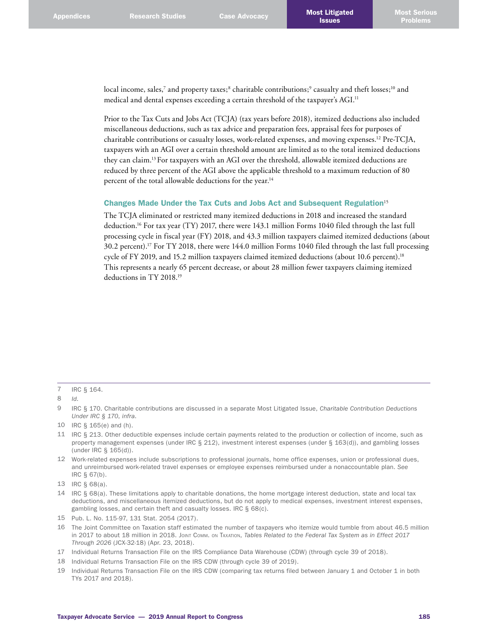local income, sales,<sup>7</sup> and property taxes;<sup>8</sup> charitable contributions;<sup>9</sup> casualty and theft losses;<sup>10</sup> and medical and dental expenses exceeding a certain threshold of the taxpayer's AGI.<sup>11</sup>

Prior to the Tax Cuts and Jobs Act (TCJA) (tax years before 2018), itemized deductions also included miscellaneous deductions, such as tax advice and preparation fees, appraisal fees for purposes of charitable contributions or casualty losses, work-related expenses, and moving expenses. 12 Pre-TCJA, taxpayers with an AGI over a certain threshold amount are limited as to the total itemized deductions they can claim. <sup>13</sup> For taxpayers with an AGI over the threshold, allowable itemized deductions are reduced by three percent of the AGI above the applicable threshold to a maximum reduction of 80 percent of the total allowable deductions for the year.<sup>14</sup>

### Changes Made Under the Tax Cuts and Jobs Act and Subsequent Regulation<sup>15</sup>

The TCJA eliminated or restricted many itemized deductions in 2018 and increased the standard deduction. 16 For tax year (TY) 2017, there were 143.1 million Forms 1040 filed through the last full processing cycle in fiscal year (FY) 2018, and 43.3 million taxpayers claimed itemized deductions (about 30.2 percent). 17 For TY 2018, there were 144.0 million Forms 1040 filed through the last full processing cycle of FY 2019, and 15.2 million taxpayers claimed itemized deductions (about 10.6 percent). 18 This represents a nearly 65 percent decrease, or about 28 million fewer taxpayers claiming itemized deductions in TY 2018. 19

- 11 IRC § 213. Other deductible expenses include certain payments related to the production or collection of income, such as property management expenses (under IRC § 212), investment interest expenses (under § 163(d)), and gambling losses (under IRC § 165(d)).
- 12 Work-related expenses include subscriptions to professional journals, home office expenses, union or professional dues, and unreimbursed work-related travel expenses or employee expenses reimbursed under a nonaccountable plan. *See* IRC § 67(b).

16 The Joint Committee on Taxation staff estimated the number of taxpayers who itemize would tumble from about 46.5 million in 2017 to about 18 million in 2018. Joint Comm. on Taxation, *Tables Related to the Federal Tax System as in Effect 2017 Through 2026* (JCX-32-18) (Apr. 23, 2018).

- 18 Individual Returns Transaction File on the IRS CDW (through cycle 39 of 2019).
- 19 Individual Returns Transaction File on the IRS CDW (comparing tax returns filed between January 1 and October 1 in both TYs 2017 and 2018).

<sup>7</sup> IRC § 164.

<sup>8</sup> *Id*.

<sup>9</sup> IRC § 170. Charitable contributions are discussed in a separate Most Litigated Issue, *Charitable Contribution Deductions Under IRC § 170*, *infra*.

<sup>10</sup> IRC § 165(e) and (h).

<sup>13</sup> IRC § 68(a).

<sup>14</sup> IRC § 68(a). These limitations apply to charitable donations, the home mortgage interest deduction, state and local tax deductions, and miscellaneous itemized deductions, but do not apply to medical expenses, investment interest expenses, gambling losses, and certain theft and casualty losses. IRC § 68(c).

<sup>15</sup> Pub. L. No. 115-97, 131 Stat. 2054 (2017).

<sup>17</sup> Individual Returns Transaction File on the IRS Compliance Data Warehouse (CDW) (through cycle 39 of 2018).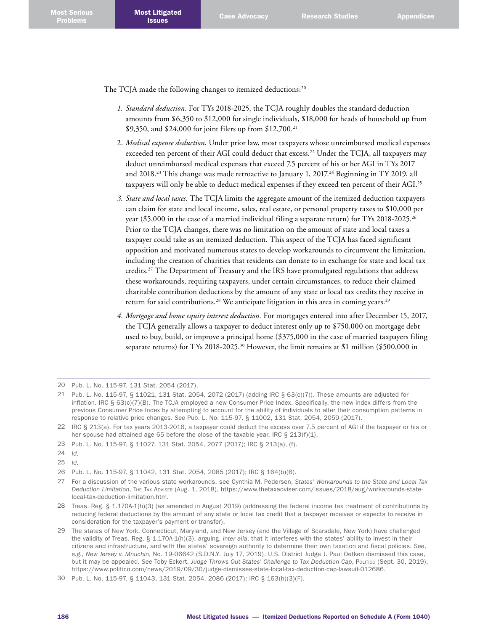The TCJA made the following changes to itemized deductions:<sup>20</sup>

- *1. Standard deduction*. For TYs 2018-2025, the TCJA roughly doubles the standard deduction amounts from \$6,350 to \$12,000 for single individuals, \$18,000 for heads of household up from \$9,350, and \$24,000 for joint filers up from \$12,700. 21
- 2. *Medical expense deduction*. Under prior law, most taxpayers whose unreimbursed medical expenses exceeded ten percent of their AGI could deduct that excess. 22 Under the TCJA, all taxpayers may deduct unreimbursed medical expenses that exceed 7.5 percent of his or her AGI in TYs 2017 and 2018.<sup>23</sup> This change was made retroactive to January 1, 2017.<sup>24</sup> Beginning in TY 2019, all taxpayers will only be able to deduct medical expenses if they exceed ten percent of their AGI.<sup>25</sup>
- *3. State and local taxes.* The TCJA limits the aggregate amount of the itemized deduction taxpayers can claim for state and local income, sales, real estate, or personal property taxes to \$10,000 per year (\$5,000 in the case of a married individual filing a separate return) for TYs 2018-2025. 26 Prior to the TCJA changes, there was no limitation on the amount of state and local taxes a taxpayer could take as an itemized deduction. This aspect of the TCJA has faced significant opposition and motivated numerous states to develop workarounds to circumvent the limitation, including the creation of charities that residents can donate to in exchange for state and local tax credits. 27 The Department of Treasury and the IRS have promulgated regulations that address these workarounds, requiring taxpayers, under certain circumstances, to reduce their claimed charitable contribution deductions by the amount of any state or local tax credits they receive in return for said contributions.<sup>28</sup> We anticipate litigation in this area in coming years.<sup>29</sup>
- *4. Mortgage and home equity interest deduction.* For mortgages entered into after December 15, 2017, the TCJA generally allows a taxpayer to deduct interest only up to \$750,000 on mortgage debt used to buy, build, or improve a principal home (\$375,000 in the case of married taxpayers filing separate returns) for TYs 2018-2025. 30 However, the limit remains at \$1 million (\$500,000 in

23 Pub. L. No. 115-97, § 11027, 131 Stat. 2054, 2077 (2017); IRC § 213(a), (f).

25 *Id*.

<sup>20</sup> Pub. L. No. 115-97, 131 Stat. 2054 (2017).

<sup>21</sup> Pub. L. No. 115-97, § 11021, 131 Stat. 2054, 2072 (2017) (adding IRC § 63(c)(7)). These amounts are adjusted for inflation. IRC § 63(c)(7)(B). The TCJA employed a new Consumer Price Index. Specifically, the new index differs from the previous Consumer Price Index by attempting to account for the ability of individuals to alter their consumption patterns in response to relative price changes. *See* Pub. L. No. 115-97, § 11002, 131 Stat. 2054, 2059 (2017).

<sup>22</sup> IRC § 213(a). For tax years 2013-2016, a taxpayer could deduct the excess over 7.5 percent of AGI if the taxpayer or his or her spouse had attained age 65 before the close of the taxable year. IRC § 213(f)(1).

<sup>24</sup> *Id*.

<sup>26</sup> Pub. L. No. 115-97, § 11042, 131 Stat. 2054, 2085 (2017); IRC § 164(b)(6).

<sup>27</sup> For a discussion of the various state workarounds, see Cynthia M. Pedersen, *States' Workarounds to the State and Local Tax Deduction Limitation*, The Tax Adviser (Aug. 1, 2018), [https://www.thetaxadviser.com/issues/2018/aug/workarounds-state](https://www.thetaxadviser.com/issues/2018/aug/workarounds-state-local-tax-deduction-limitation.htm)[local-tax-deduction-limitation.htm](https://www.thetaxadviser.com/issues/2018/aug/workarounds-state-local-tax-deduction-limitation.htm).

<sup>28</sup> Treas. Reg. § 1.170A-1(h)(3) (as amended in August 2019) (addressing the federal income tax treatment of contributions by reducing federal deductions by the amount of any state or local tax credit that a taxpayer receives or expects to receive in consideration for the taxpayer's payment or transfer).

<sup>29</sup> The states of New York, Connecticut, Maryland, and New Jersey (and the Village of Scarsdale, New York) have challenged the validity of Treas. Reg. § 1.170A-1(h)(3), arguing, *inter alia*, that it interferes with the states' ability to invest in their citizens and infrastructure, and with the states' sovereign authority to determine their own taxation and fiscal policies. *See*, *e.g*., *New Jersey v. Mnuchin*, No. 19-06642 (S.D.N.Y. July 17, 2019). U.S. District Judge J. Paul Oetken dismissed this case, but it may be appealed. *See* Toby Eckert, *Judge Throws Out States' Challenge to Tax Deduction Cap*, Politico (Sept. 30, 2019), [https://www.politico.com/news/2019/09/30/judge-dismisses-state-local-tax-deduction-cap-lawsuit-012686.](https://www.politico.com/news/2019/09/30/judge-dismisses-state-local-tax-deduction-cap-lawsuit-012686)

<sup>30</sup> Pub. L. No. 115-97, § 11043, 131 Stat. 2054, 2086 (2017); IRC § 163(h)(3)(F).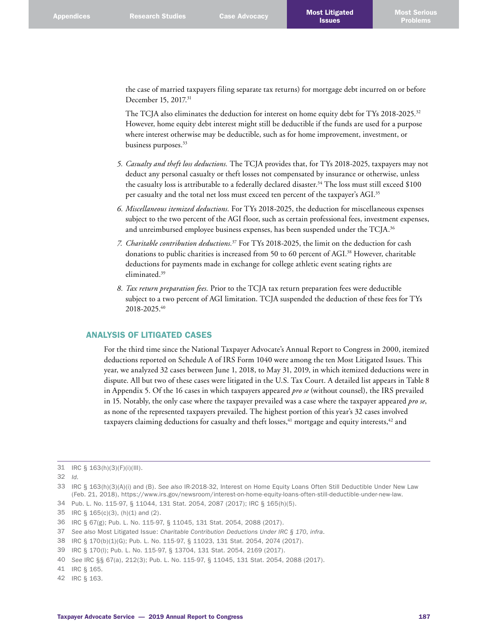the case of married taxpayers filing separate tax returns) for mortgage debt incurred on or before December 15, 2017. 31

The TCJA also eliminates the deduction for interest on home equity debt for TYs 2018-2025.<sup>32</sup> However, home equity debt interest might still be deductible if the funds are used for a purpose where interest otherwise may be deductible, such as for home improvement, investment, or business purposes. 33

- *5. Casualty and theft loss deductions.* The TCJA provides that, for TYs 2018-2025, taxpayers may not deduct any personal casualty or theft losses not compensated by insurance or otherwise, unless the casualty loss is attributable to a federally declared disaster. 34 The loss must still exceed \$100 per casualty and the total net loss must exceed ten percent of the taxpayer's AGI. 35
- *6. Miscellaneous itemized deductions.* For TYs 2018-2025, the deduction for miscellaneous expenses subject to the two percent of the AGI floor, such as certain professional fees, investment expenses, and unreimbursed employee business expenses, has been suspended under the TCJA. $^{36}$
- *7. Charitable contribution deductions.*<sup>37</sup> For TYs 2018-2025, the limit on the deduction for cash donations to public charities is increased from 50 to 60 percent of AGI. 38 However, charitable deductions for payments made in exchange for college athletic event seating rights are eliminated. 39
- *8. Tax return preparation fees.* Prior to the TCJA tax return preparation fees were deductible subject to a two percent of AGI limitation. TCJA suspended the deduction of these fees for TYs 2018-2025. 40

# ANALYSIS OF LITIGATED CASES

For the third time since the National Taxpayer Advocate's Annual Report to Congress in 2000, itemized deductions reported on Schedule A of IRS Form 1040 were among the ten Most Litigated Issues. This year, we analyzed 32 cases between June 1, 2018, to May 31, 2019, in which itemized deductions were in dispute. All but two of these cases were litigated in the U.S. Tax Court. A detailed list appears in Table 8 in Appendix 5. Of the 16 cases in which taxpayers appeared *pro se* (without counsel), the IRS prevailed in 15. Notably, the only case where the taxpayer prevailed was a case where the taxpayer appeared *pro se*, as none of the represented taxpayers prevailed. The highest portion of this year's 32 cases involved taxpayers claiming deductions for casualty and theft losses, $^{41}$  mortgage and equity interests, $^{42}$  and

32 *Id*.

37 *See also* Most Litigated Issue: *Charitable Contribution Deductions Under IRC § 170*, *infra*.

40 *See* IRC §§ 67(a), 212(3); Pub. L. No. 115-97, § 11045, 131 Stat. 2054, 2088 (2017).

42 IRC § 163.

<sup>31</sup> IRC § 163(h)(3)(F)(i)(III).

<sup>33</sup> IRC § 163(h)(3)(A)(i) and (B). *See also* IR-2018-32, Interest on Home Equity Loans Often Still Deductible Under New Law (Feb. 21, 2018), [https://www.irs.gov/newsroom/interest-on-home-equity-loans-often-still-deductible-under-new-law.](https://www.irs.gov/newsroom/interest-on-home-equity-loans-often-still-deductible-under-new-law)

<sup>34</sup> Pub. L. No. 115-97, § 11044, 131 Stat. 2054, 2087 (2017); IRC § 165(h)(5).

<sup>35</sup> IRC § 165(c)(3), (h)(1) and (2).

<sup>36</sup> IRC § 67(g); Pub. L. No. 115-97, § 11045, 131 Stat. 2054, 2088 (2017).

<sup>38</sup> IRC § 170(b)(1)(G); Pub. L. No. 115-97, § 11023, 131 Stat. 2054, 2074 (2017).

<sup>39</sup> IRC § 170(l); Pub. L. No. 115-97, § 13704, 131 Stat. 2054, 2169 (2017).

<sup>41</sup> IRC § 165.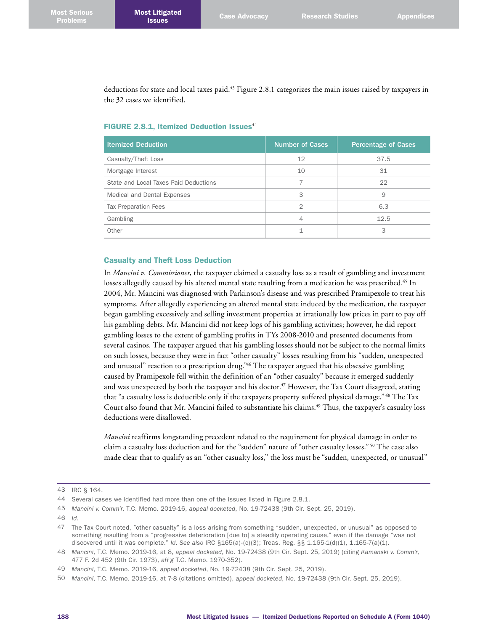deductions for state and local taxes paid. 43 Figure 2.8.1 categorizes the main issues raised by taxpayers in the 32 cases we identified.

| <b>Itemized Deduction</b>             | <b>Number of Cases</b> | <b>Percentage of Cases</b> |
|---------------------------------------|------------------------|----------------------------|
| Casualty/Theft Loss                   | 12                     | 37.5                       |
| Mortgage Interest                     | 10                     | 31                         |
| State and Local Taxes Paid Deductions |                        | 22                         |
| Medical and Dental Expenses           | 3                      | 9                          |
| <b>Tax Preparation Fees</b>           | $\overline{2}$         | 6.3                        |
| Gambling                              | 4                      | 12.5                       |
| Other                                 |                        | 3                          |

# FIGURE 2.8.1, Itemized Deduction Issues<sup>44</sup>

#### Casualty and Theft Loss Deduction

In *Mancini v. Commissioner*, the taxpayer claimed a casualty loss as a result of gambling and investment losses allegedly caused by his altered mental state resulting from a medication he was prescribed. 45 In 2004, Mr. Mancini was diagnosed with Parkinson's disease and was prescribed Pramipexole to treat his symptoms. After allegedly experiencing an altered mental state induced by the medication, the taxpayer began gambling excessively and selling investment properties at irrationally low prices in part to pay off his gambling debts. Mr. Mancini did not keep logs of his gambling activities; however, he did report gambling losses to the extent of gambling profits in TYs 2008-2010 and presented documents from several casinos. The taxpayer argued that his gambling losses should not be subject to the normal limits on such losses, because they were in fact "other casualty" losses resulting from his "sudden, unexpected and unusual" reaction to a prescription drug." 46 The taxpayer argued that his obsessive gambling caused by Pramipexole fell within the definition of an "other casualty" because it emerged suddenly and was unexpected by both the taxpayer and his doctor. 47 However, the Tax Court disagreed, stating that "a casualty loss is deductible only if the taxpayers property suffered physical damage." 48 The Tax Court also found that Mr. Mancini failed to substantiate his claims. 49 Thus, the taxpayer's casualty loss deductions were disallowed.

*Mancini* reaffirms longstanding precedent related to the requirement for physical damage in order to claim a casualty loss deduction and for the "sudden" nature of "other casualty losses." 50 The case also made clear that to qualify as an "other casualty loss," the loss must be "sudden, unexpected, or unusual"

<sup>43</sup> IRC § 164.

<sup>44</sup> Several cases we identified had more than one of the issues listed in Figure 2.8.1.

<sup>45</sup> *Mancini v. Comm'r*, T.C. Memo. 2019-16, *appeal docketed*, No. 19-72438 (9th Cir. Sept. 25, 2019).

<sup>46</sup> *Id.*

<sup>47</sup> The Tax Court noted, "other casualty" is a loss arising from something "sudden, unexpected, or unusual" as opposed to something resulting from a "progressive deterioration [due to] a steadily operating cause," even if the damage "was not discovered until it was complete." *Id*. *See also* IRC §165(a)-(c)(3); Treas. Reg. §§ 1.165-1(d)(1), 1.165-7(a)(1).

<sup>48</sup> *Mancini*, T.C. Memo. 2019-16, at 8, *appeal docketed*, No. 19-72438 (9th Cir. Sept. 25, 2019) (citing *Kamanski v. Comm'r*, 477 F. 2d 452 (9th Cir. 1973), *aff'g* T.C. Memo. 1970-352).

<sup>49</sup> *Mancini*, T.C. Memo. 2019-16, *appeal docketed*, No. 19-72438 (9th Cir. Sept. 25, 2019).

<sup>50</sup> *Mancini*, T.C. Memo. 2019-16, at 7-8 (citations omitted), *appeal docketed*, No. 19-72438 (9th Cir. Sept. 25, 2019).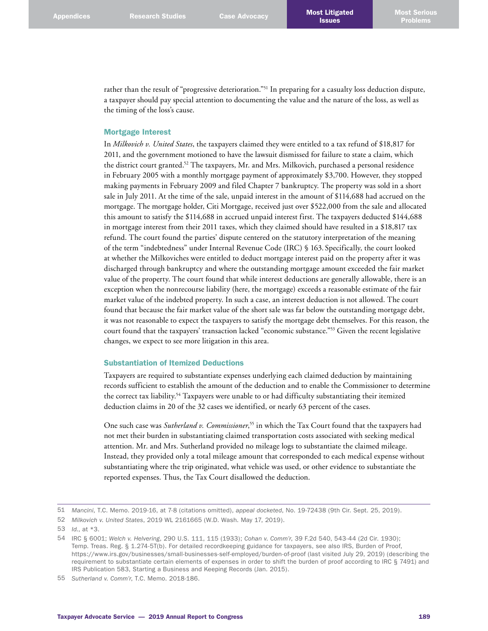rather than the result of "progressive deterioration."<sup>51</sup> In preparing for a casualty loss deduction dispute, a taxpayer should pay special attention to documenting the value and the nature of the loss, as well as the timing of the loss's cause.

### Mortgage Interest

In *Milkovich v. United States*, the taxpayers claimed they were entitled to a tax refund of \$18,817 for 2011, and the government motioned to have the lawsuit dismissed for failure to state a claim, which the district court granted. 52 The taxpayers, Mr. and Mrs. Milkovich, purchased a personal residence in February 2005 with a monthly mortgage payment of approximately \$3,700. However, they stopped making payments in February 2009 and filed Chapter 7 bankruptcy. The property was sold in a short sale in July 2011. At the time of the sale, unpaid interest in the amount of \$114,688 had accrued on the mortgage. The mortgage holder, Citi Mortgage, received just over \$522,000 from the sale and allocated this amount to satisfy the \$114,688 in accrued unpaid interest first. The taxpayers deducted \$144,688 in mortgage interest from their 2011 taxes, which they claimed should have resulted in a \$18,817 tax refund. The court found the parties' dispute centered on the statutory interpretation of the meaning of the term "indebtedness" under Internal Revenue Code (IRC) § 163. Specifically, the court looked at whether the Milkoviches were entitled to deduct mortgage interest paid on the property after it was discharged through bankruptcy and where the outstanding mortgage amount exceeded the fair market value of the property. The court found that while interest deductions are generally allowable, there is an exception when the nonrecourse liability (here, the mortgage) exceeds a reasonable estimate of the fair market value of the indebted property. In such a case, an interest deduction is not allowed. The court found that because the fair market value of the short sale was far below the outstanding mortgage debt, it was not reasonable to expect the taxpayers to satisfy the mortgage debt themselves. For this reason, the court found that the taxpayers' transaction lacked "economic substance."53 Given the recent legislative changes, we expect to see more litigation in this area.

## Substantiation of Itemized Deductions

Taxpayers are required to substantiate expenses underlying each claimed deduction by maintaining records sufficient to establish the amount of the deduction and to enable the Commissioner to determine the correct tax liability. 54 Taxpayers were unable to or had difficulty substantiating their itemized deduction claims in 20 of the 32 cases we identified, or nearly 63 percent of the cases.

One such case was *Sutherland v. Commissioner*, 55 in which the Tax Court found that the taxpayers had not met their burden in substantiating claimed transportation costs associated with seeking medical attention. Mr. and Mrs. Sutherland provided no mileage logs to substantiate the claimed mileage. Instead, they provided only a total mileage amount that corresponded to each medical expense without substantiating where the trip originated, what vehicle was used, or other evidence to substantiate the reported expenses. Thus, the Tax Court disallowed the deduction.

<sup>51</sup> *Mancini*, T.C. Memo. 2019-16, at 7-8 (citations omitted), *appeal docketed*, No. 19-72438 (9th Cir. Sept. 25, 2019).

<sup>52</sup> *Milkovich v. United States*, 2019 WL 2161665 (W.D. Wash. May 17, 2019).

<sup>53</sup> *Id.*, at \*3.

<sup>54</sup> IRC § 6001; *Welch v. Helvering*, 290 U.S. 111, 115 (1933); *Cohan v. Comm'r*, 39 F.2d 540, 543-44 (2d Cir. 1930); Temp. Treas. Reg. § 1.274-5T(b). For detailed recordkeeping guidance for taxpayers, see also IRS, Burden of Proof, <https://www.irs.gov/businesses/small-businesses-self-employed/burden-of-proof>(last visited July 29, 2019) (describing the requirement to substantiate certain elements of expenses in order to shift the burden of proof according to IRC § 7491) and IRS Publication 583, Starting a Business and Keeping Records (Jan. 2015).

<sup>55</sup> *Sutherland v. Comm'r*, T.C. Memo. 2018-186.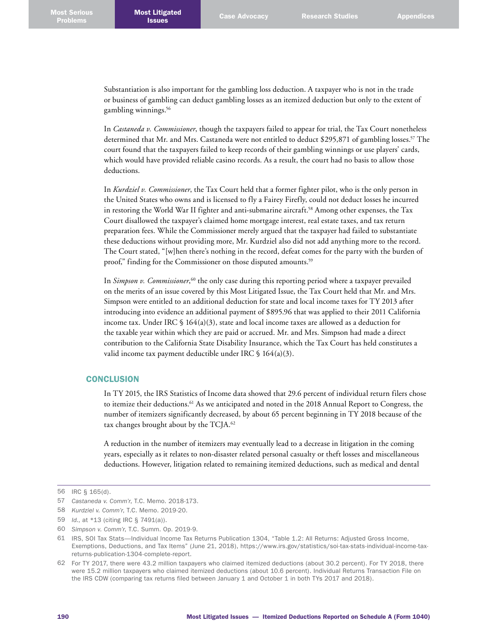Substantiation is also important for the gambling loss deduction. A taxpayer who is not in the trade or business of gambling can deduct gambling losses as an itemized deduction but only to the extent of gambling winnings. 56

In *Castaneda v. Commissioner*, though the taxpayers failed to appear for trial, the Tax Court nonetheless determined that Mr. and Mrs. Castaneda were not entitled to deduct \$295,871 of gambling losses. 57 The court found that the taxpayers failed to keep records of their gambling winnings or use players' cards, which would have provided reliable casino records. As a result, the court had no basis to allow those deductions.

In *Kurdziel v. Commissioner*, the Tax Court held that a former fighter pilot, who is the only person in the United States who owns and is licensed to fly a Fairey Firefly, could not deduct losses he incurred in restoring the World War II fighter and anti-submarine aircraft. 58 Among other expenses, the Tax Court disallowed the taxpayer's claimed home mortgage interest, real estate taxes, and tax return preparation fees. While the Commissioner merely argued that the taxpayer had failed to substantiate these deductions without providing more, Mr. Kurdziel also did not add anything more to the record. The Court stated, "[w]hen there's nothing in the record, defeat comes for the party with the burden of proof," finding for the Commissioner on those disputed amounts. 59

In *Simpson v. Commissioner*,<sup>60</sup> the only case during this reporting period where a taxpayer prevailed on the merits of an issue covered by this Most Litigated Issue, the Tax Court held that Mr. and Mrs. Simpson were entitled to an additional deduction for state and local income taxes for TY 2013 after introducing into evidence an additional payment of \$895.96 that was applied to their 2011 California income tax. Under IRC  $\S$  164(a)(3), state and local income taxes are allowed as a deduction for the taxable year within which they are paid or accrued. Mr. and Mrs. Simpson had made a direct contribution to the California State Disability Insurance, which the Tax Court has held constitutes a valid income tax payment deductible under IRC  $\frac{1}{5}$  164(a)(3).

### **CONCLUSION**

In TY 2015, the IRS Statistics of Income data showed that 29.6 percent of individual return filers chose to itemize their deductions.<sup>61</sup> As we anticipated and noted in the 2018 Annual Report to Congress, the number of itemizers significantly decreased, by about 65 percent beginning in TY 2018 because of the tax changes brought about by the TCJA. 62

A reduction in the number of itemizers may eventually lead to a decrease in litigation in the coming years, especially as it relates to non-disaster related personal casualty or theft losses and miscellaneous deductions. However, litigation related to remaining itemized deductions, such as medical and dental

<sup>56</sup> IRC § 165(d).

<sup>57</sup> *Castaneda v. Comm'r*, T.C. Memo. 2018-173.

<sup>58</sup> *Kurdziel v. Comm'r*, T.C. Memo. 2019-20.

<sup>59</sup> *Id.*, at \*13 (citing IRC § 7491(a)).

<sup>60</sup> *Simpson v. Comm'r*, T.C. Summ. Op. 2019-9.

<sup>61</sup> IRS, SOI Tax Stats—Individual Income Tax Returns Publication 1304, "Table 1.2: All Returns: Adjusted Gross Income, Exemptions, Deductions, and Tax Items" (June 21, 2018), [https://www.irs.gov/statistics/soi-tax-stats-individual-income-tax](https://www.irs.gov/statistics/soi-tax-stats-individual-income-tax-returns-publication-1304-complete-report)[returns-publication-1304-complete-report](https://www.irs.gov/statistics/soi-tax-stats-individual-income-tax-returns-publication-1304-complete-report).

<sup>62</sup> For TY 2017, there were 43.2 million taxpayers who claimed itemized deductions (about 30.2 percent). For TY 2018, there were 15.2 million taxpayers who claimed itemized deductions (about 10.6 percent). Individual Returns Transaction File on the IRS CDW (comparing tax returns filed between January 1 and October 1 in both TYs 2017 and 2018).